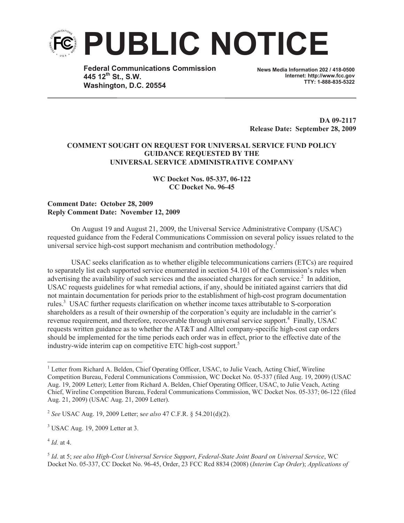

**Federal Communications Commission 445 12th St., S.W. Washington, D.C. 20554**

**News Media Information 202 / 418-0500 Internet: http://www.fcc.gov TTY: 1-888-835-5322**

**DA 09-2117 Release Date: September 28, 2009**

## **COMMENT SOUGHT ON REQUEST FOR UNIVERSAL SERVICE FUND POLICY GUIDANCE REQUESTED BY THE UNIVERSAL SERVICE ADMINISTRATIVE COMPANY**

**WC Docket Nos. 05-337, 06-122 CC Docket No. 96-45**

## **Comment Date: October 28, 2009 Reply Comment Date: November 12, 2009**

On August 19 and August 21, 2009, the Universal Service Administrative Company (USAC) requested guidance from the Federal Communications Commission on several policy issues related to the universal service high-cost support mechanism and contribution methodology.<sup>1</sup>

USAC seeks clarification as to whether eligible telecommunications carriers (ETCs) are required to separately list each supported service enumerated in section 54.101 of the Commission's rules when advertising the availability of such services and the associated charges for each service.<sup>2</sup> In addition, USAC requests guidelines for what remedial actions, if any, should be initiated against carriers that did not maintain documentation for periods prior to the establishment of high-cost program documentation rules.<sup>3</sup> USAC further requests clarification on whether income taxes attributable to S-corporation shareholders as a result of their ownership of the corporation's equity are includable in the carrier's revenue requirement, and therefore, recoverable through universal service support.<sup>4</sup> Finally, USAC requests written guidance as to whether the AT&T and Alltel company-specific high-cost cap orders should be implemented for the time periods each order was in effect, prior to the effective date of the industry-wide interim cap on competitive ETC high-cost support.<sup>5</sup>

2 *See* USAC Aug. 19, 2009 Letter; s*ee also* 47 C.F.R. § 54.201(d)(2).

 $3$  USAC Aug. 19, 2009 Letter at 3.

4 *Id.* at 4.

<sup>&</sup>lt;sup>1</sup> Letter from Richard A. Belden, Chief Operating Officer, USAC, to Julie Veach, Acting Chief, Wireline Competition Bureau, Federal Communications Commission, WC Docket No. 05-337 (filed Aug. 19, 2009) (USAC Aug. 19, 2009 Letter); Letter from Richard A. Belden, Chief Operating Officer, USAC, to Julie Veach, Acting Chief, Wireline Competition Bureau, Federal Communications Commission, WC Docket Nos. 05-337; 06-122 (filed Aug. 21, 2009) (USAC Aug. 21, 2009 Letter).

<sup>5</sup> *Id*. at 5; *see also High-Cost Universal Service Support*, *Federal-State Joint Board on Universal Service*, WC Docket No. 05-337, CC Docket No. 96-45, Order, 23 FCC Rcd 8834 (2008) (*Interim Cap Order*); *Applications of*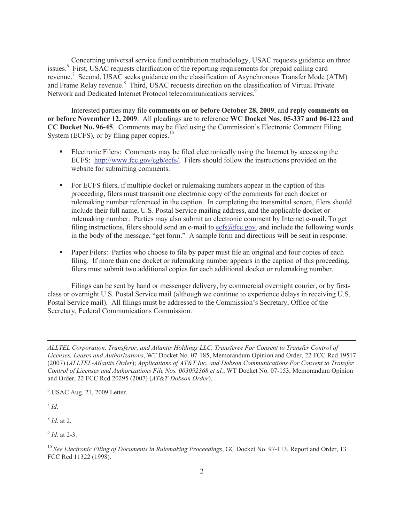Concerning universal service fund contribution methodology, USAC requests guidance on three issues.<sup>6</sup> First, USAC requests clarification of the reporting requirements for prepaid calling card revenue.<sup>7</sup> Second, USAC seeks guidance on the classification of Asynchronous Transfer Mode (ATM) and Frame Relay revenue.<sup>8</sup> Third, USAC requests direction on the classification of Virtual Private Network and Dedicated Internet Protocol telecommunications services.<sup>9</sup>

Interested parties may file **comments on or before October 28, 2009**, and **reply comments on or before November 12, 2009**. All pleadings are to reference **WC Docket Nos. 05-337 and 06-122 and CC Docket No. 96-45**. Comments may be filed using the Commission's Electronic Comment Filing System (ECFS), or by filing paper copies. $10$ 

- Electronic Filers: Comments may be filed electronically using the Internet by accessing the ECFS: http://www.fcc.gov/cgb/ecfs/. Filers should follow the instructions provided on the website for submitting comments.
- For ECFS filers, if multiple docket or rulemaking numbers appear in the caption of this proceeding, filers must transmit one electronic copy of the comments for each docket or rulemaking number referenced in the caption. In completing the transmittal screen, filers should include their full name, U.S. Postal Service mailing address, and the applicable docket or rulemaking number. Parties may also submit an electronic comment by Internet e-mail. To get filing instructions, filers should send an e-mail to ecfs@fcc.gov, and include the following words in the body of the message, "get form." A sample form and directions will be sent in response.
- Paper Filers: Parties who choose to file by paper must file an original and four copies of each filing. If more than one docket or rulemaking number appears in the caption of this proceeding, filers must submit two additional copies for each additional docket or rulemaking number.

Filings can be sent by hand or messenger delivery, by commercial overnight courier, or by firstclass or overnight U.S. Postal Service mail (although we continue to experience delays in receiving U.S. Postal Service mail). All filings must be addressed to the Commission's Secretary, Office of the Secretary, Federal Communications Commission.

 $6$  USAC Aug. 21, 2009 Letter.

7 *Id*.

8 *Id*. at 2.

9 *Id*. at 2-3.

*ALLTEL Corporation, Transferor, and Atlantis Holdings LLC, Transferee For Consent to Transfer Control of Licenses, Leases and Authorizations*, WT Docket No. 07-185, Memorandum Opinion and Order, 22 FCC Rcd 19517 (2007) (*ALLTEL-Atlantis Order*); *Applications of AT&T Inc. and Dobson Communications For Consent to Transfer Control of Licenses and Authorizations File Nos. 003092368 et al.*, WT Docket No. 07-153, Memorandum Opinion and Order, 22 FCC Rcd 20295 (2007) (*AT&T-Dobson Order*).

<sup>10</sup> *See Electronic Filing of Documents in Rulemaking Proceedings*, GC Docket No. 97-113, Report and Order, 13 FCC Rcd 11322 (1998).